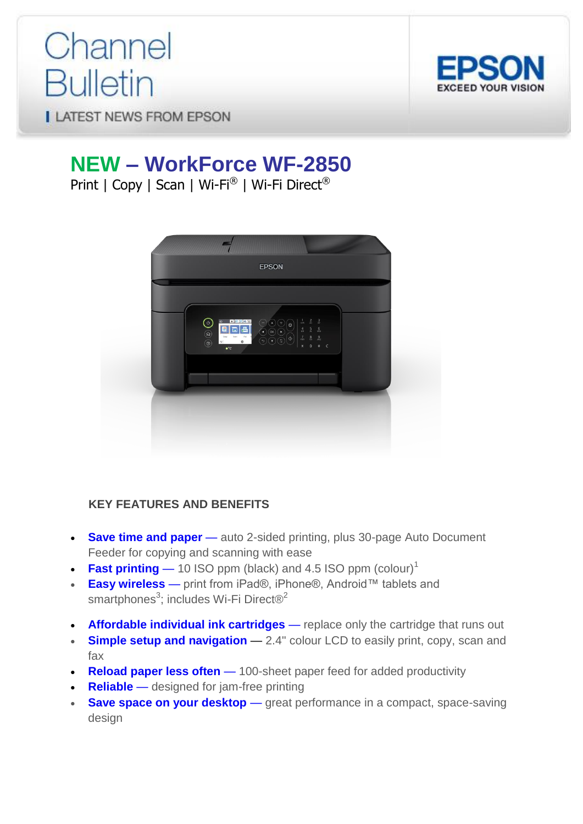# Channel **Bulletin**



**LATEST NEWS FROM EPSON** 

# **NEW – WorkForce WF-2850**

Print | Copy | Scan | Wi-Fi® | Wi-Fi Direct®



## **KEY FEATURES AND BENEFITS**

- **Save time and paper** auto 2-sided printing, plus 30-page Auto Document Feeder for copying and scanning with ease
- **Fast printing**  $-$  10 ISO ppm (black) and 4.5 ISO ppm (colour)<sup>1</sup>
- **Easy wireless**  print from iPad®, iPhone®, Android™ tablets and smartphones<sup>3</sup>; includes Wi-Fi Direct<sup>®<sup>2</sup></sup>
- **Affordable individual ink cartridges** replace only the cartridge that runs out
- **Simple setup and navigation** 2.4" colour LCD to easily print, copy, scan and fax
- **Reload paper less often** 100-sheet paper feed for added productivity
- **Reliable** designed for jam-free printing
- **Save space on your desktop** great performance in a compact, space-saving design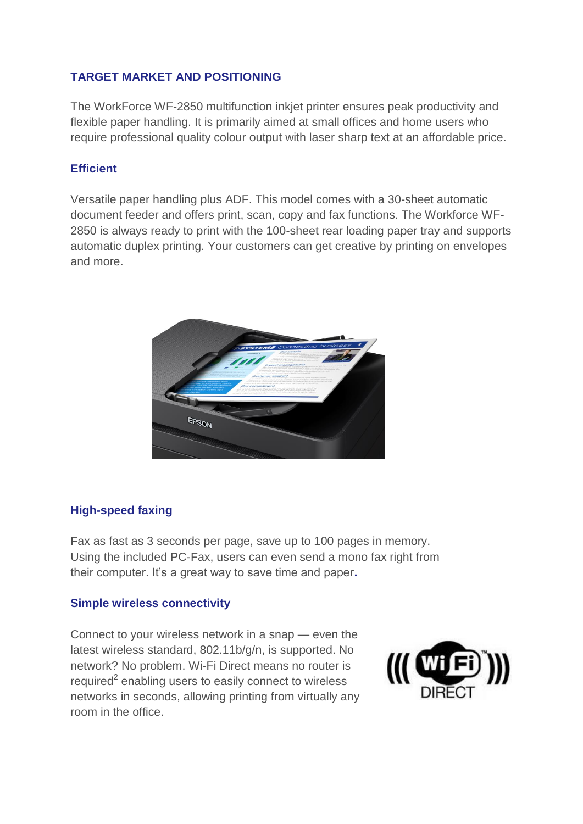#### **TARGET MARKET AND POSITIONING**

The WorkForce WF-2850 multifunction inkjet printer ensures peak productivity and flexible paper handling. It is primarily aimed at small offices and home users who require professional quality colour output with laser sharp text at an affordable price.

#### **Efficient**

Versatile paper handling plus ADF. This model comes with a 30-sheet automatic document feeder and offers print, scan, copy and fax functions. The Workforce WF-2850 is always ready to print with the 100-sheet rear loading paper tray and supports automatic duplex printing. Your customers can get creative by printing on envelopes and more.



## **High-speed faxing**

Fax as fast as 3 seconds per page, save up to 100 pages in memory. Using the included PC-Fax, users can even send a mono fax right from their computer. It's a great way to save time and paper**.**

#### **Simple wireless connectivity**

Connect to your wireless network in a snap — even the latest wireless standard, 802.11b/g/n, is supported. No network? No problem. Wi-Fi Direct means no router is required $2$  enabling users to easily connect to wireless networks in seconds, allowing printing from virtually any room in the office.

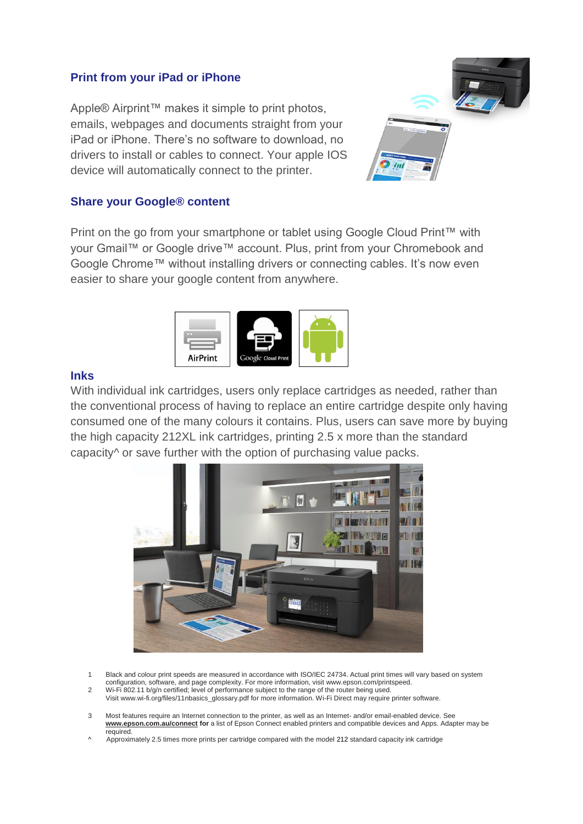#### **Print from your iPad or iPhone**

Apple® Airprint™ makes it simple to print photos, emails, webpages and documents straight from your iPad or iPhone. There's no software to download, no drivers to install or cables to connect. Your apple IOS device will automatically connect to the printer.



#### **Share your Google® content**

Print on the go from your smartphone or tablet using Google Cloud Print™ with your Gmail™ or Google drive™ account. Plus, print from your Chromebook and Google Chrome™ without installing drivers or connecting cables. It's now even easier to share your google content from anywhere.



#### **Inks**

With individual ink cartridges, users only replace cartridges as needed, rather than the conventional process of having to replace an entire cartridge despite only having consumed one of the many colours it contains. Plus, users can save more by buying the high capacity 212XL ink cartridges, printing 2.5 x more than the standard capacity<sup>^</sup> or save further with the option of purchasing value packs.



- 1 Black and colour print speeds are measured in accordance with ISO/IEC 24734. Actual print times will vary based on system configuration, software, and page complexity. For more information, visit www.epson.com/printspeed.
- 2 Wi-Fi 802.11 b/g/n certified; level of performance subject to the range of the router being used.
- Visi[t www.wi-fi.org/files/11nbasics\\_glossary.pdf](http://www.wi-fi.org/files/11nbasics_glossary.pdf) for more information. Wi-Fi Direct may require printer software.
- 3 Most features require an Internet connection to the printer, as well as an Internet- and/or email-enabled device. See **[www.epson.com.au/connect](http://www.epson.com.au/connect/) for** a list of Epson Connect enabled printers and compatible devices and Apps. Adapter may be required.
- ^ Approximately 2.5 times more prints per cartridge compared with the model 212 standard capacity ink cartridge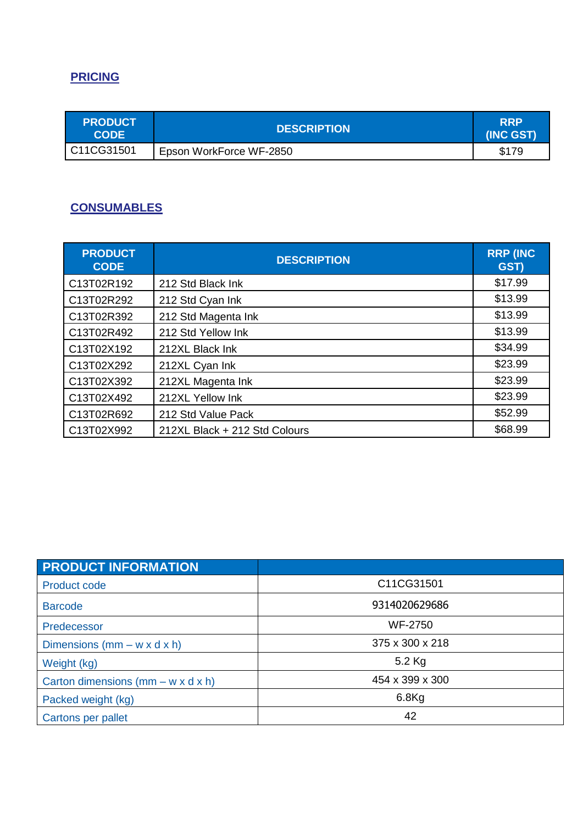# **PRICING**

| <b>PRODUCT</b><br><b>CODE</b> | <b>DESCRIPTION</b>      | <b>RRP</b><br>(INC GST) |
|-------------------------------|-------------------------|-------------------------|
| C11CG31501                    | Epson WorkForce WF-2850 | \$179                   |

#### **CONSUMABLES**

| <b>PRODUCT</b><br><b>CODE</b> | <b>DESCRIPTION</b>            | <b>RRP (INC)</b><br><b>GST)</b> |
|-------------------------------|-------------------------------|---------------------------------|
| C13T02R192                    | 212 Std Black Ink             | \$17.99                         |
| C13T02R292                    | 212 Std Cyan Ink              | \$13.99                         |
| C13T02R392                    | 212 Std Magenta Ink           | \$13.99                         |
| C13T02R492                    | 212 Std Yellow Ink            | \$13.99                         |
| C13T02X192                    | 212XL Black Ink               | \$34.99                         |
| C13T02X292                    | 212XL Cyan Ink                | \$23.99                         |
| C13T02X392                    | 212XL Magenta Ink             | \$23.99                         |
| C13T02X492                    | 212XL Yellow Ink              | \$23.99                         |
| C13T02R692                    | 212 Std Value Pack            | \$52.99                         |
| C13T02X992                    | 212XL Black + 212 Std Colours | \$68.99                         |

| <b>PRODUCT INFORMATION</b>              |                 |
|-----------------------------------------|-----------------|
| <b>Product code</b>                     | C11CG31501      |
| <b>Barcode</b>                          | 9314020629686   |
| Predecessor                             | <b>WF-2750</b>  |
| Dimensions $(mm - w \times d \times h)$ | 375 x 300 x 218 |
| Weight (kg)                             | 5.2 Kg          |
| Carton dimensions (mm $- w x d x h$ )   | 454 x 399 x 300 |
| Packed weight (kg)                      | $6.8$ Kg        |
| Cartons per pallet                      | 42              |